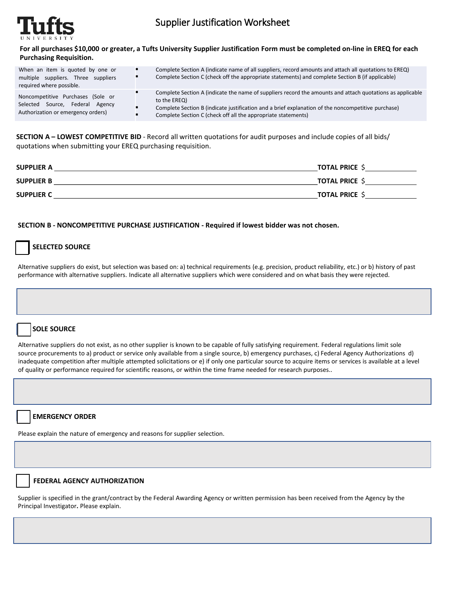

# Supplier Justification Worksheet

**For all purchases \$10,000 or greater, a Tufts University Supplier Justification Form must be completed on-line in EREQ for each Purchasing Requisition.**

| When an item is quoted by one or<br>multiple suppliers. Three suppliers<br>required where possible.        | Complete Section A (indicate name of all suppliers, record amounts and attach all quotations to EREQ)<br>Complete Section C (check off the appropriate statements) and complete Section B (if applicable)                                                                                        |
|------------------------------------------------------------------------------------------------------------|--------------------------------------------------------------------------------------------------------------------------------------------------------------------------------------------------------------------------------------------------------------------------------------------------|
| Noncompetitive Purchases (Sole or<br>Selected Source, Federal Agency<br>Authorization or emergency orders) | Complete Section A (indicate the name of suppliers record the amounts and attach quotations as applicable<br>to the EREQ)<br>Complete Section B (indicate justification and a brief explanation of the noncompetitive purchase)<br>Complete Section C (check off all the appropriate statements) |

**SECTION A – LOWEST COMPETITIVE BID** - Record all written quotations for audit purposes and include copies of all bids/ quotations when submitting your EREQ purchasing requisition.

| <b>SUPPLIER A</b> | <b>TOTAL PRICE \$</b> |
|-------------------|-----------------------|
| <b>SUPPLIER B</b> | <b>TOTAL PRICE \$</b> |
| <b>SUPPLIER C</b> | <b>TOTAL PRICE \$</b> |

#### **SECTION B - NONCOMPETITIVE PURCHASE JUSTIFICATION - Required if lowest bidder was not chosen.**

# **SELECTED SOURCE**

Alternative suppliers do exist, but selection was based on: a) technical requirements (e.g. precision, product reliability, etc.) or b) history of past performance with alternative suppliers. Indicate all alternative suppliers which were considered and on what basis they were rejected.

## **SOLE SOURCE**

Alternative suppliers do not exist, as no other supplier is known to be capable of fully satisfying requirement. Federal regulations limit sole source procurements to a) product or service only available from a single source, b) emergency purchases, c) Federal Agency Authorizations d) inadequate competition after multiple attempted solicitations or e) if only one particular source to acquire items or services is available at a level of quality or performance required for scientific reasons, or within the time frame needed for research purposes..

## **EMERGENCY ORDER**

Please explain the nature of emergency and reasons for supplier selection.

#### **FEDERAL AGENCY AUTHORIZATION**

Supplier is specified in the grant/contract by the Federal Awarding Agency or written permission has been received from the Agency by the Principal Investigator**.** Please explain.